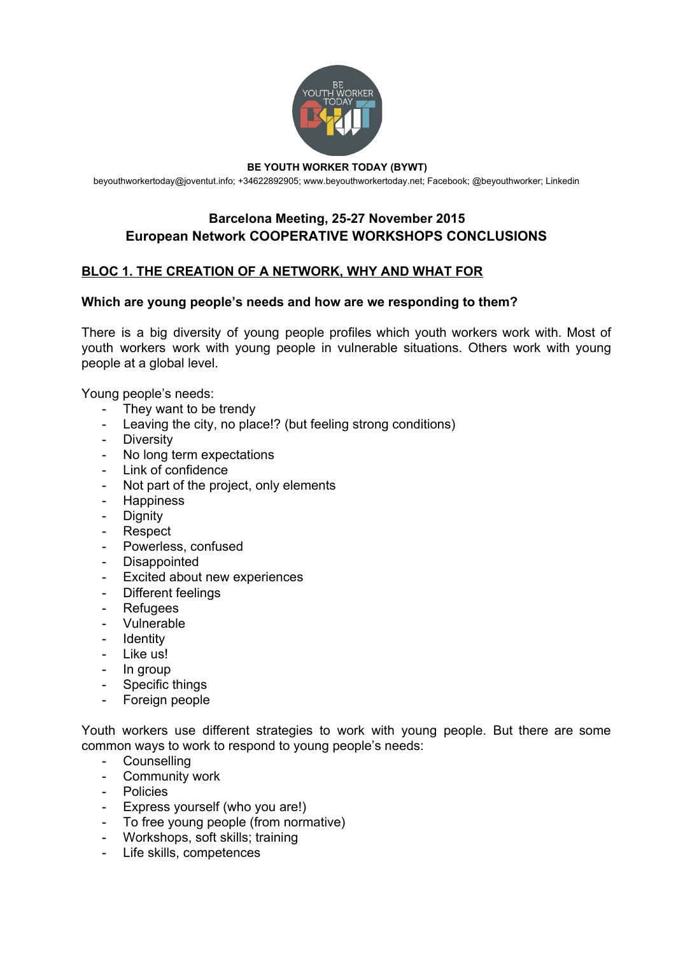

[beyouthworkertoday@joventut.info;](mailto:beyouthworkertoday@joventut.info) +34622892905; [www.beyouthworkertoday.net;](http://www.beyouthworkertoday.net/) [Facebook;](http://www.facebook.com/beyouthworkertoday) @beyouthworker; [Linkedin](https://www.linkedin.com/grps/Be-Youth-Worker-Today-BYWT-8413671/about?)

# **Barcelona Meeting, 2527 November 2015 European Network COOPERATIVE WORKSHOPS CONCLUSIONS**

# **BLOC 1. THE CREATION OF A NETWORK, WHY AND WHAT FOR**

### **Which are young people's needs and how are we responding to them?**

There is a big diversity of young people profiles which youth workers work with. Most of youth workers work with young people in vulnerable situations. Others work with young people at a global level.

Young people's needs:

- They want to be trendy
- Leaving the city, no place!? (but feeling strong conditions)
- Diversity
- No long term expectations
- Link of confidence
- Not part of the project, only elements
- Happiness
- Dignity
- Respect
- Powerless, confused
- Disappointed
- Excited about new experiences
- Different feelings
- Refugees
- Vulnerable
- Identity
- Like us!
- In group
- Specific things
- Foreign people

Youth workers use different strategies to work with young people. But there are some common ways to work to respond to young people's needs:

- Counselling
- Community work
- Policies
- Express yourself (who you are!)
- To free young people (from normative)
- Workshops, soft skills; training
- Life skills, competences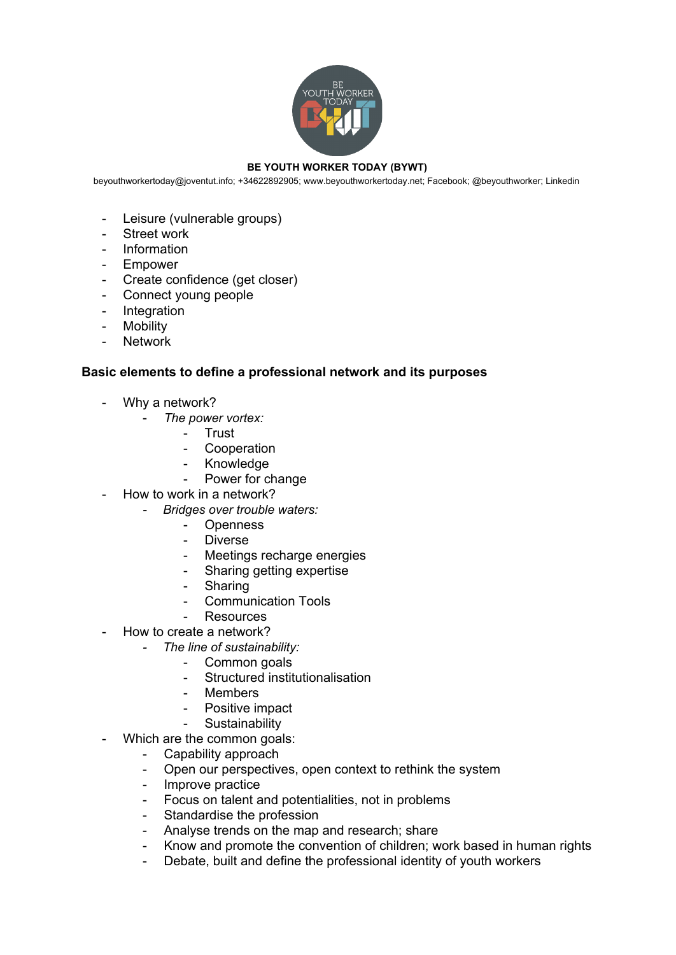

[beyouthworkertoday@joventut.info;](mailto:beyouthworkertoday@joventut.info) +34622892905; [www.beyouthworkertoday.net;](http://www.beyouthworkertoday.net/) [Facebook;](http://www.facebook.com/beyouthworkertoday) @beyouthworker; [Linkedin](https://www.linkedin.com/grps/Be-Youth-Worker-Today-BYWT-8413671/about?)

- Leisure (vulnerable groups)
- Street work
- Information
- Empower
- Create confidence (get closer)
- Connect young people
- Integration
- Mobility
- **Network**

### **Basic elements to define a professional network and its purposes**

- Why a network?
	- *The power vortex:*
		- Trust
		- Cooperation
		- Knowledge
			- Power for change
	- How to work in a network?
		- *Bridges over trouble waters:* 
			- Openness
			- Diverse
			- Meetings recharge energies
			- Sharing getting expertise
			- Sharing
			- Communication Tools
			- Resources
- How to create a network?
	- *The line of sustainability:* 
		- Common goals
		- Structured institutionalisation
		- Members
		- Positive impact
		- Sustainability
- Which are the common goals:
	- Capability approach
	- Open our perspectives, open context to rethink the system
	- Improve practice
	- Focus on talent and potentialities, not in problems
	- Standardise the profession
	- Analyse trends on the map and research; share
	- Know and promote the convention of children; work based in human rights
	- Debate, built and define the professional identity of youth workers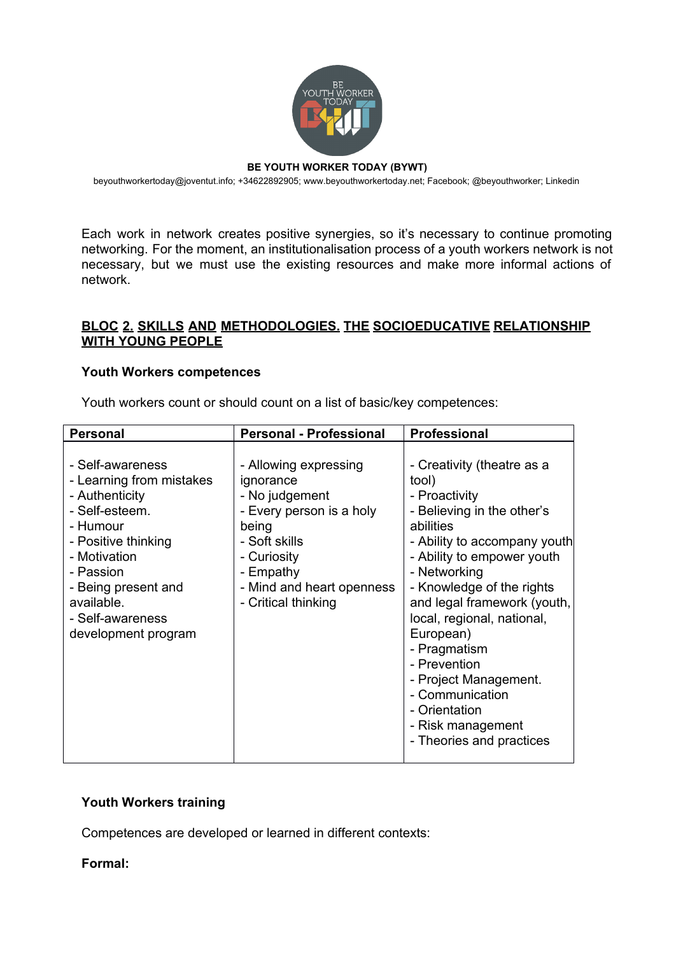

[beyouthworkertoday@joventut.info;](mailto:beyouthworkertoday@joventut.info) +34622892905; [www.beyouthworkertoday.net;](http://www.beyouthworkertoday.net/) [Facebook;](http://www.facebook.com/beyouthworkertoday) @beyouthworker; [Linkedin](https://www.linkedin.com/grps/Be-Youth-Worker-Today-BYWT-8413671/about?)

Each work in network creates positive synergies, so it's necessary to continue promoting networking. For the moment, an institutionalisation process of a youth workers network is not necessary, but we must use the existing resources and make more informal actions of network.

## **BLOC 2. SKILLS AND METHODOLOGIES. THE SOCIOEDUCATIVE RELATIONSHIP WITH YOUNG PEOPLE**

### **Youth Workers competences**

Youth workers count or should count on a list of basic/key competences:

| <b>Personal</b>                                                                                                                                                                                                                  | <b>Personal - Professional</b>                                                                                                                                                             | <b>Professional</b>                                                                                                                                                                                                                                                                                                                                                                                                                |
|----------------------------------------------------------------------------------------------------------------------------------------------------------------------------------------------------------------------------------|--------------------------------------------------------------------------------------------------------------------------------------------------------------------------------------------|------------------------------------------------------------------------------------------------------------------------------------------------------------------------------------------------------------------------------------------------------------------------------------------------------------------------------------------------------------------------------------------------------------------------------------|
| - Self-awareness<br>- Learning from mistakes<br>- Authenticity<br>- Self-esteem.<br>- Humour<br>- Positive thinking<br>- Motivation<br>- Passion<br>- Being present and<br>available.<br>- Self-awareness<br>development program | - Allowing expressing<br>ignorance<br>- No judgement<br>- Every person is a holy<br>being<br>- Soft skills<br>- Curiosity<br>- Empathy<br>- Mind and heart openness<br>- Critical thinking | - Creativity (theatre as a<br>tool)<br>- Proactivity<br>- Believing in the other's<br>abilities<br>- Ability to accompany youth<br>- Ability to empower youth<br>- Networking<br>- Knowledge of the rights<br>and legal framework (youth,<br>local, regional, national,<br>European)<br>- Pragmatism<br>- Prevention<br>- Project Management.<br>- Communication<br>- Orientation<br>- Risk management<br>- Theories and practices |

## **Youth Workers training**

Competences are developed or learned in different contexts:

**Formal:**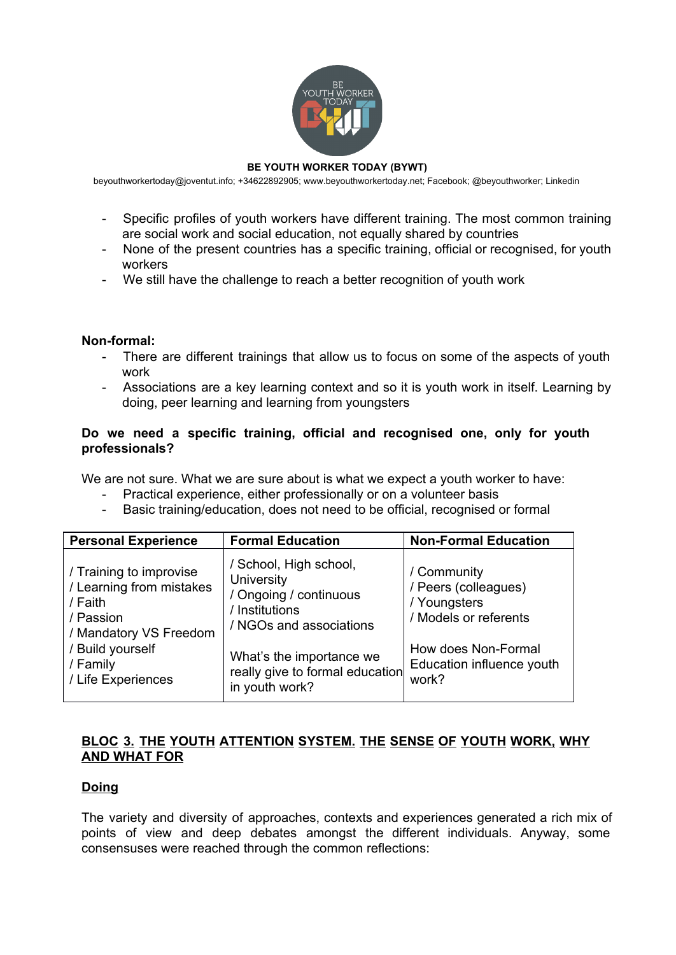

[beyouthworkertoday@joventut.info;](mailto:beyouthworkertoday@joventut.info) +34622892905; [www.beyouthworkertoday.net;](http://www.beyouthworkertoday.net/) [Facebook;](http://www.facebook.com/beyouthworkertoday) @beyouthworker; [Linkedin](https://www.linkedin.com/grps/Be-Youth-Worker-Today-BYWT-8413671/about?)

- Specific profiles of youth workers have different training. The most common training are social work and social education, not equally shared by countries
- None of the present countries has a specific training, official or recognised, for youth workers
- We still have the challenge to reach a better recognition of youth work

#### Non-formal:

- There are different trainings that allow us to focus on some of the aspects of youth work
- Associations are a key learning context and so it is youth work in itself. Learning by doing, peer learning and learning from youngsters

### Do we need a specific training, official and recognised one, only for youth **professionals?**

We are not sure. What we are sure about is what we expect a youth worker to have:

- Practical experience, either professionally or on a volunteer basis
- Basic training/education, does not need to be official, recognised or formal

| <b>Personal Experience</b>                                                                                                                                  | <b>Formal Education</b>                                                                                            | <b>Non-Formal Education</b>                                                  |
|-------------------------------------------------------------------------------------------------------------------------------------------------------------|--------------------------------------------------------------------------------------------------------------------|------------------------------------------------------------------------------|
| / Training to improvise<br>/ Learning from mistakes<br>/ Faith<br>/ Passion<br>/ Mandatory VS Freedom<br>/ Build yourself<br>/ Family<br>/ Life Experiences | / School, High school,<br><b>University</b><br>/ Ongoing / continuous<br>/ Institutions<br>/ NGOs and associations | / Community<br>/ Peers (colleagues)<br>/ Youngsters<br>/ Models or referents |
|                                                                                                                                                             | What's the importance we<br>really give to formal education<br>in youth work?                                      | How does Non-Formal<br>Education influence youth<br>work?                    |

## **BLOC 3. THE YOUTH ATTENTION SYSTEM. THE SENSE OF YOUTH WORK, WHY AND WHAT FOR**

## **Doing**

The variety and diversity of approaches, contexts and experiences generated a rich mix of points of view and deep debates amongst the different individuals. Anyway, some consensuses were reached through the common reflections: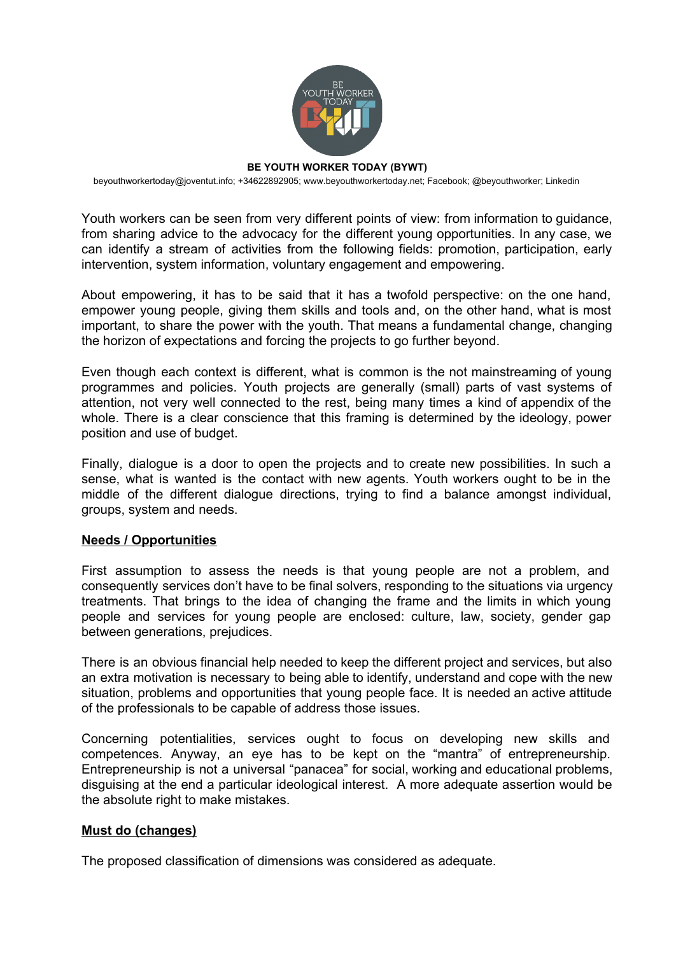

[beyouthworkertoday@joventut.info;](mailto:beyouthworkertoday@joventut.info) +34622892905; [www.beyouthworkertoday.net;](http://www.beyouthworkertoday.net/) [Facebook;](http://www.facebook.com/beyouthworkertoday) @beyouthworker; [Linkedin](https://www.linkedin.com/grps/Be-Youth-Worker-Today-BYWT-8413671/about?)

Youth workers can be seen from very different points of view: from information to guidance, from sharing advice to the advocacy for the different young opportunities. In any case, we can identify a stream of activities from the following fields: promotion, participation, early intervention, system information, voluntary engagement and empowering.

About empowering, it has to be said that it has a twofold perspective: on the one hand, empower young people, giving them skills and tools and, on the other hand, what is most important, to share the power with the youth. That means a fundamental change, changing the horizon of expectations and forcing the projects to go further beyond.

Even though each context is different, what is common is the not mainstreaming of young programmes and policies. Youth projects are generally (small) parts of vast systems of attention, not very well connected to the rest, being many times a kind of appendix of the whole. There is a clear conscience that this framing is determined by the ideology, power position and use of budget.

Finally, dialogue is a door to open the projects and to create new possibilities. In such a sense, what is wanted is the contact with new agents. Youth workers ought to be in the middle of the different dialogue directions, trying to find a balance amongst individual, groups, system and needs.

#### **Needs / Opportunities**

First assumption to assess the needs is that young people are not a problem, and consequently services don't have to be final solvers, responding to the situations via urgency treatments. That brings to the idea of changing the frame and the limits in which young people and services for young people are enclosed: culture, law, society, gender gap between generations, prejudices.

There is an obvious financial help needed to keep the different project and services, but also an extra motivation is necessary to being able to identify, understand and cope with the new situation, problems and opportunities that young people face. It is needed an active attitude of the professionals to be capable of address those issues.

Concerning potentialities, services ought to focus on developing new skills and competences. Anyway, an eye has to be kept on the "mantra" of entrepreneurship. Entrepreneurship is not a universal "panacea" for social, working and educational problems, disguising at the end a particular ideological interest. A more adequate assertion would be the absolute right to make mistakes.

#### **Must do (changes)**

The proposed classification of dimensions was considered as adequate.